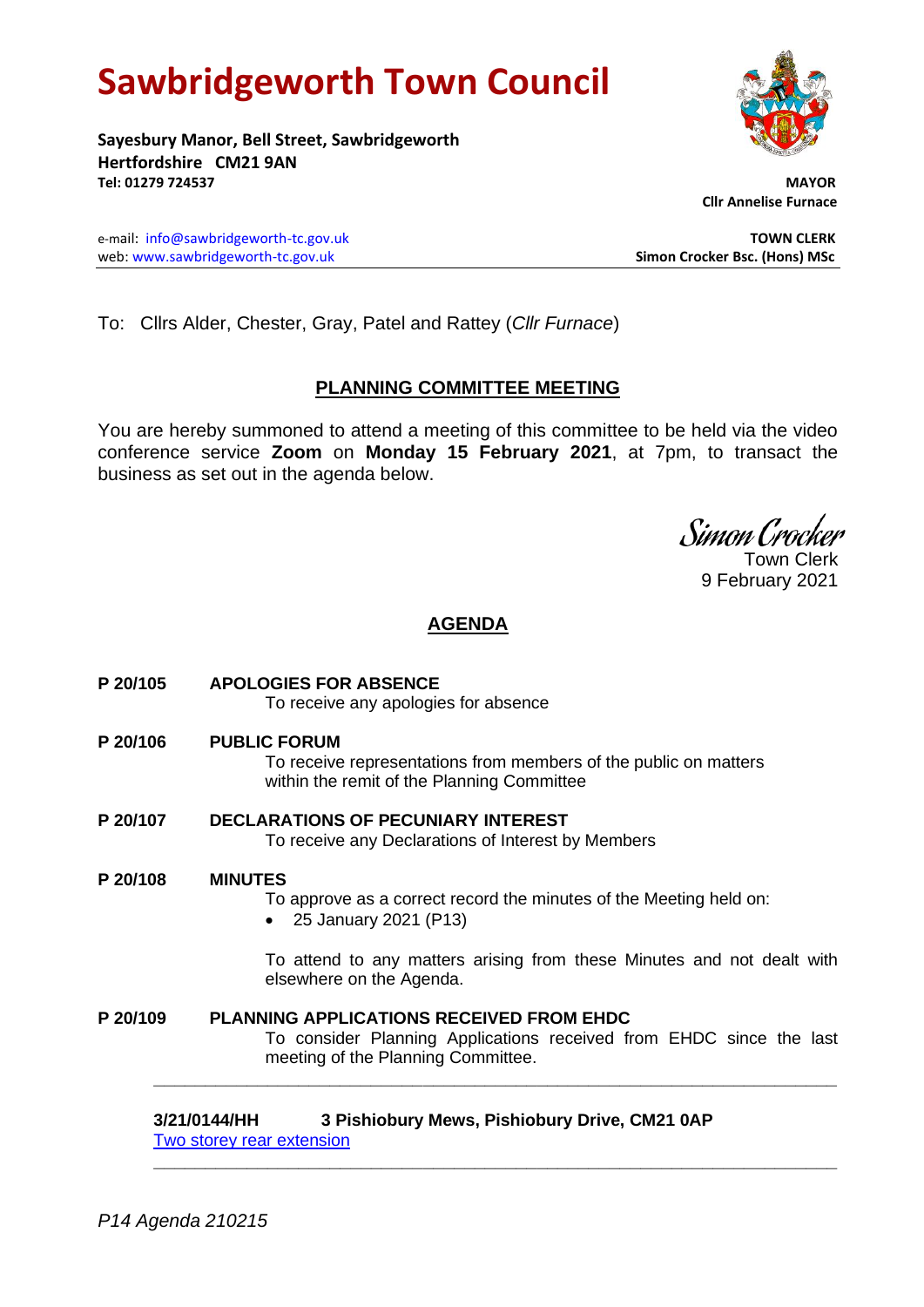# **Sawbridgeworth Town Council**

**Sayesbury Manor, Bell Street, Sawbridgeworth Hertfordshire CM21 9AN Tel: 01279 724537 MAYOR**

e-mail: [info@sawbridgeworth-tc.gov.uk](mailto:info@sawbridgeworth-tc.gov.uk) **TOWN CLERK** web: www.sawbridgeworth-tc.gov.uk **Simon Crocker Bsc. (Hons) MSc**

 **Cllr Annelise Furnace**

To: Cllrs Alder, Chester, Gray, Patel and Rattey (*Cllr Furnace*)

# **PLANNING COMMITTEE MEETING**

You are hereby summoned to attend a meeting of this committee to be held via the video conference service **Zoom** on **Monday 15 February 2021**, at 7pm, to transact the business as set out in the agenda below.

Simon Crocker

Town Clerk 9 February 2021

# **AGENDA**

**P 20/105 APOLOGIES FOR ABSENCE** To receive any apologies for absence **P 20/106 PUBLIC FORUM** To receive representations from members of the public on matters within the remit of the Planning Committee **P 20/107 DECLARATIONS OF PECUNIARY INTEREST** To receive any Declarations of Interest by Members **P 20/108 MINUTES** To approve as a correct record the minutes of the Meeting held on: • 25 January 2021 (P13) To attend to any matters arising from these Minutes and not dealt with elsewhere on the Agenda. **P 20/109 PLANNING APPLICATIONS RECEIVED FROM EHDC** To consider Planning Applications received from EHDC since the last meeting of the Planning Committee. **\_\_\_\_\_\_\_\_\_\_\_\_\_\_\_\_\_\_\_\_\_\_\_\_\_\_\_\_\_\_\_\_\_\_\_\_\_\_\_\_\_\_\_\_\_\_\_\_\_\_\_\_\_\_\_\_\_\_\_\_\_\_\_\_\_\_**

**3/21/0144/HH 3 Pishiobury Mews, Pishiobury Drive, CM21 0AP**  [Two storey rear extension](https://publicaccess.eastherts.gov.uk/online-applications/applicationDetails.do?activeTab=documents&keyVal=QN9Y88GLKHG00)

**\_\_\_\_\_\_\_\_\_\_\_\_\_\_\_\_\_\_\_\_\_\_\_\_\_\_\_\_\_\_\_\_\_\_\_\_\_\_\_\_\_\_\_\_\_\_\_\_\_\_\_\_\_\_\_\_\_\_\_\_\_\_\_\_\_\_**

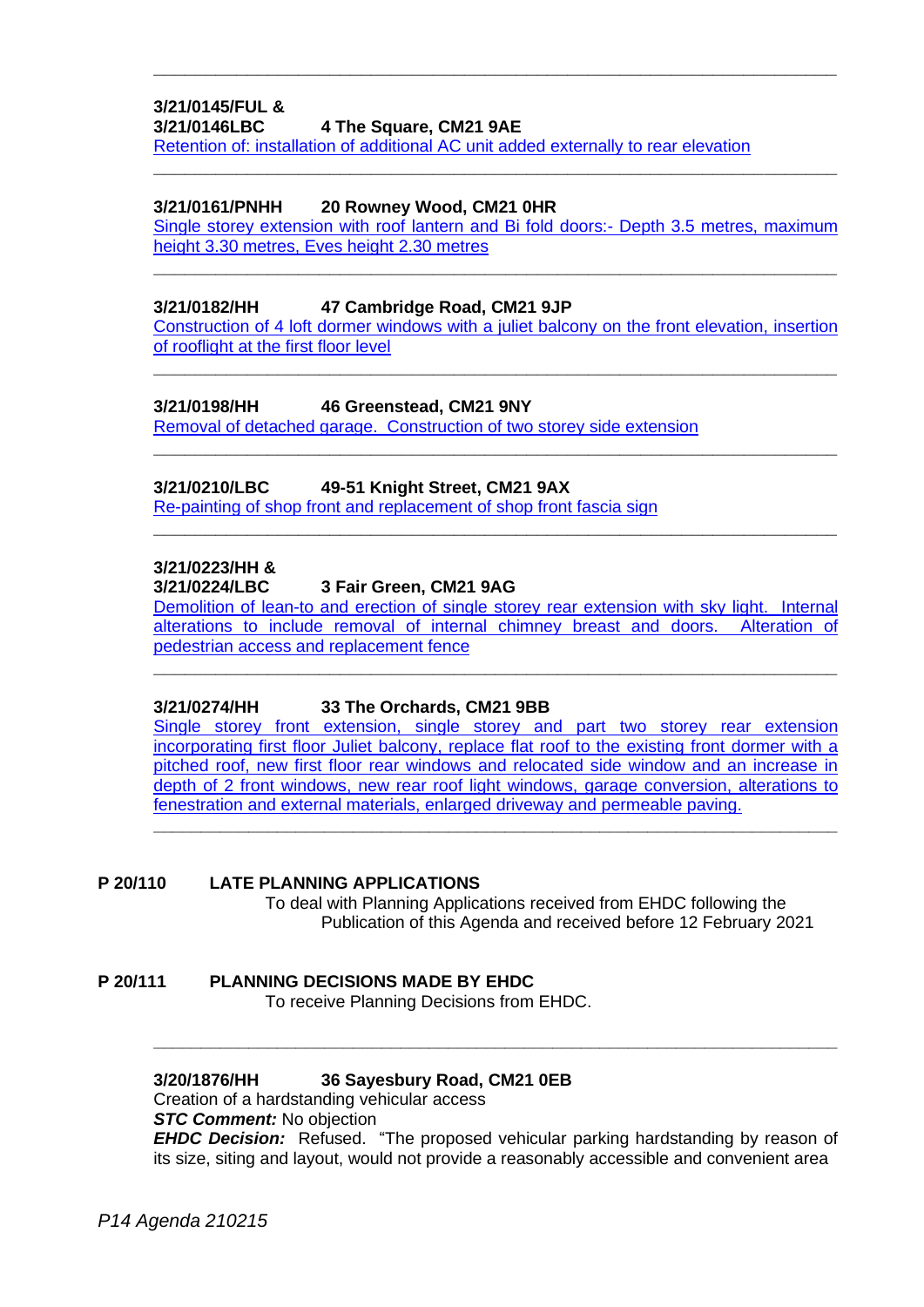[Retention of: installation of additional AC unit added externally to rear elevation](https://publicaccess.eastherts.gov.uk/online-applications/applicationDetails.do?activeTab=documents&keyVal=QN9Y9WGLKHI00)

#### **3/21/0161/PNHH 20 Rowney Wood, CM21 0HR**

[Single storey extension with roof lantern and Bi fold doors:-](https://publicaccess.eastherts.gov.uk/online-applications/applicationDetails.do?activeTab=documents&keyVal=QNBZH8GL04O00) Depth 3.5 metres, maximum [height 3.30 metres, Eves height](https://publicaccess.eastherts.gov.uk/online-applications/applicationDetails.do?activeTab=documents&keyVal=QNBZH8GL04O00) 2.30 metres **\_\_\_\_\_\_\_\_\_\_\_\_\_\_\_\_\_\_\_\_\_\_\_\_\_\_\_\_\_\_\_\_\_\_\_\_\_\_\_\_\_\_\_\_\_\_\_\_\_\_\_\_\_\_\_\_\_\_\_\_\_\_\_\_\_\_**

**\_\_\_\_\_\_\_\_\_\_\_\_\_\_\_\_\_\_\_\_\_\_\_\_\_\_\_\_\_\_\_\_\_\_\_\_\_\_\_\_\_\_\_\_\_\_\_\_\_\_\_\_\_\_\_\_\_\_\_\_\_\_\_\_\_\_**

**\_\_\_\_\_\_\_\_\_\_\_\_\_\_\_\_\_\_\_\_\_\_\_\_\_\_\_\_\_\_\_\_\_\_\_\_\_\_\_\_\_\_\_\_\_\_\_\_\_\_\_\_\_\_\_\_\_\_\_\_\_\_\_\_\_\_**

#### **3/21/0182/HH 47 Cambridge Road, CM21 9JP**

[Construction of 4 loft dormer windows with a juliet](https://publicaccess.eastherts.gov.uk/online-applications/applicationDetails.do?keyVal=QNJ7NNGLKKC00&activeTab=summary) balcony on the front elevation, insertion [of rooflight at the first floor level](https://publicaccess.eastherts.gov.uk/online-applications/applicationDetails.do?keyVal=QNJ7NNGLKKC00&activeTab=summary) **\_\_\_\_\_\_\_\_\_\_\_\_\_\_\_\_\_\_\_\_\_\_\_\_\_\_\_\_\_\_\_\_\_\_\_\_\_\_\_\_\_\_\_\_\_\_\_\_\_\_\_\_\_\_\_\_\_\_\_\_\_\_\_\_\_\_**

**\_\_\_\_\_\_\_\_\_\_\_\_\_\_\_\_\_\_\_\_\_\_\_\_\_\_\_\_\_\_\_\_\_\_\_\_\_\_\_\_\_\_\_\_\_\_\_\_\_\_\_\_\_\_\_\_\_\_\_\_\_\_\_\_\_\_**

**\_\_\_\_\_\_\_\_\_\_\_\_\_\_\_\_\_\_\_\_\_\_\_\_\_\_\_\_\_\_\_\_\_\_\_\_\_\_\_\_\_\_\_\_\_\_\_\_\_\_\_\_\_\_\_\_\_\_\_\_\_\_\_\_\_\_**

#### **3/21/0198/HH 46 Greenstead, CM21 9NY**

[Removal of detached garage. Construction of two storey side extension](https://publicaccess.eastherts.gov.uk/online-applications/applicationDetails.do?activeTab=documents&keyVal=QNJTWZGLKLC00)

#### **3/21/0210/LBC 49-51 Knight Street, CM21 9AX**

[Re-painting of shop front and replacement of shop front fascia sign](https://publicaccess.eastherts.gov.uk/online-applications/applicationDetails.do?activeTab=documents&keyVal=QNLOL8GLKMB00)

# **3/21/0223/HH &**

#### **3/21/0224/LBC 3 Fair Green, CM21 9AG**

Demolition of lean-to and [erection of single storey rear extension with sky light. Internal](https://publicaccess.eastherts.gov.uk/online-applications/applicationDetails.do?activeTab=documents&keyVal=QNNJB8GLKN700)  [alterations to include removal of internal chimney breast and doors. Alteration of](https://publicaccess.eastherts.gov.uk/online-applications/applicationDetails.do?activeTab=documents&keyVal=QNNJB8GLKN700)  [pedestrian access and replacement fence](https://publicaccess.eastherts.gov.uk/online-applications/applicationDetails.do?activeTab=documents&keyVal=QNNJB8GLKN700)

**\_\_\_\_\_\_\_\_\_\_\_\_\_\_\_\_\_\_\_\_\_\_\_\_\_\_\_\_\_\_\_\_\_\_\_\_\_\_\_\_\_\_\_\_\_\_\_\_\_\_\_\_\_\_\_\_\_\_\_\_\_\_\_\_\_\_**

# **3/21/0274/HH 33 The Orchards, CM21 9BB**

[Single storey front extension, single storey and part](https://publicaccess.eastherts.gov.uk/online-applications/applicationDetails.do?activeTab=documents&keyVal=QNYC5EGLKQW00) two storey rear extension incorporating first floor Juliet [balcony, replace flat roof to the existing front dormer with a](https://publicaccess.eastherts.gov.uk/online-applications/applicationDetails.do?activeTab=documents&keyVal=QNYC5EGLKQW00)  [pitched roof, new first floor rear windows and relocated side window and an increase in](https://publicaccess.eastherts.gov.uk/online-applications/applicationDetails.do?activeTab=documents&keyVal=QNYC5EGLKQW00)  [depth of 2 front windows, new rear roof light](https://publicaccess.eastherts.gov.uk/online-applications/applicationDetails.do?activeTab=documents&keyVal=QNYC5EGLKQW00) windows, garage conversion, alterations to [fenestration and external materials, enlarged driveway and permeable paving.](https://publicaccess.eastherts.gov.uk/online-applications/applicationDetails.do?activeTab=documents&keyVal=QNYC5EGLKQW00)

**\_\_\_\_\_\_\_\_\_\_\_\_\_\_\_\_\_\_\_\_\_\_\_\_\_\_\_\_\_\_\_\_\_\_\_\_\_\_\_\_\_\_\_\_\_\_\_\_\_\_\_\_\_\_\_\_\_\_\_\_\_\_\_\_\_\_\_\_\_\_\_\_**

#### **P 20/110 LATE PLANNING APPLICATIONS**

To deal with Planning Applications received from EHDC following the Publication of this Agenda and received before 12 February 2021

# **P 20/111 PLANNING DECISIONS MADE BY EHDC**

To receive Planning Decisions from EHDC.

# **3/20/1876/HH 36 Sayesbury Road, CM21 0EB**

Creation of a hardstanding vehicular access *STC Comment:* No objection

*EHDC Decision:* Refused. "The proposed vehicular parking hardstanding by reason of its size, siting and layout, would not provide a reasonably accessible and convenient area

**\_\_\_\_\_\_\_\_\_\_\_\_\_\_\_\_\_\_\_\_\_\_\_\_\_\_\_\_\_\_\_\_\_\_\_\_\_\_\_\_\_\_\_\_\_\_\_\_\_\_\_\_\_\_\_\_\_\_\_\_\_\_\_\_\_\_\_\_\_\_\_\_**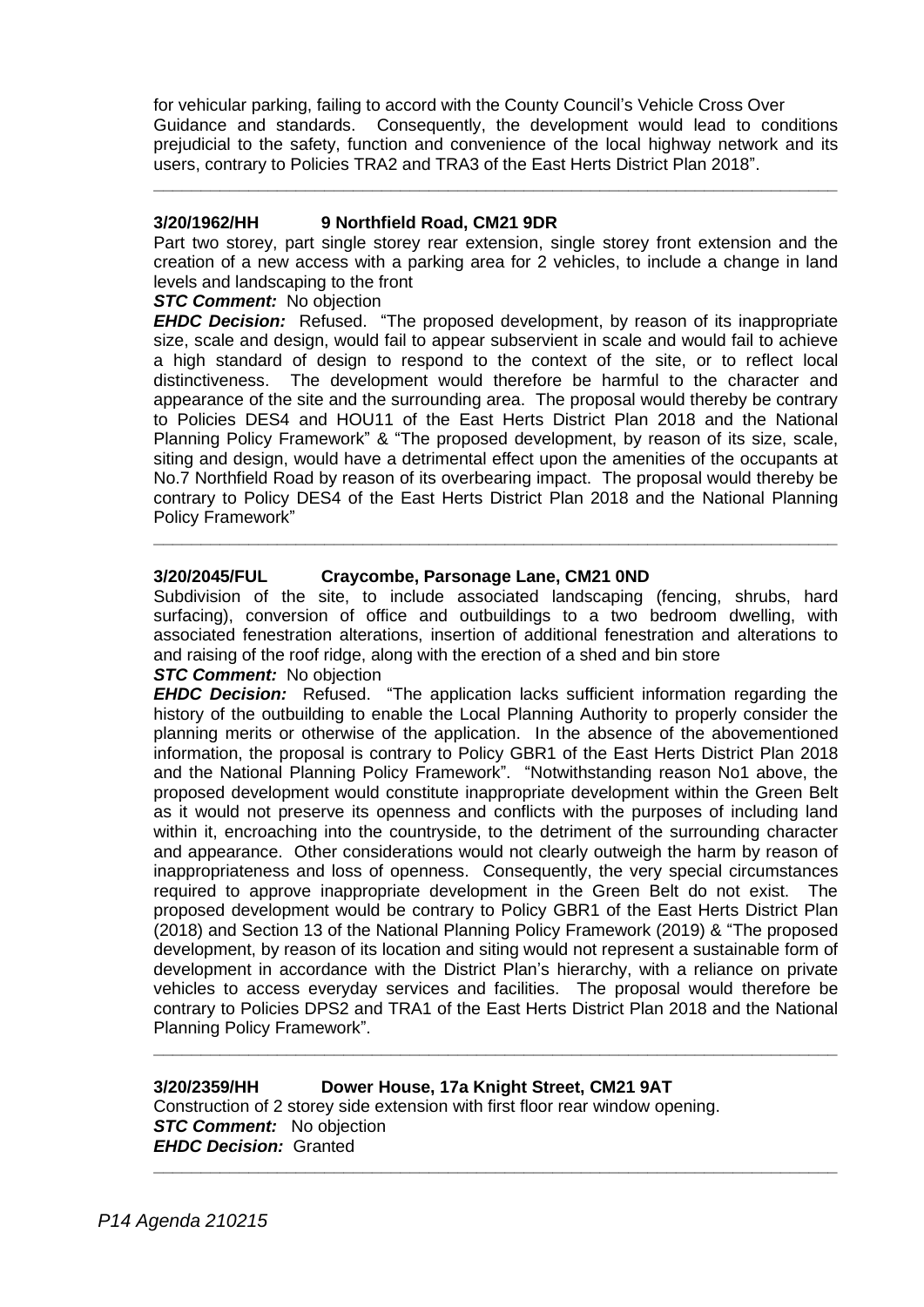for vehicular parking, failing to accord with the County Council's Vehicle Cross Over Guidance and standards. Consequently, the development would lead to conditions prejudicial to the safety, function and convenience of the local highway network and its users, contrary to Policies TRA2 and TRA3 of the East Herts District Plan 2018".

**\_\_\_\_\_\_\_\_\_\_\_\_\_\_\_\_\_\_\_\_\_\_\_\_\_\_\_\_\_\_\_\_\_\_\_\_\_\_\_\_\_\_\_\_\_\_\_\_\_\_\_\_\_\_\_\_\_\_\_\_\_\_\_\_\_\_\_\_\_\_\_\_**

#### **3/20/1962/HH 9 Northfield Road, CM21 9DR**

Part two storey, part single storey rear extension, single storey front extension and the creation of a new access with a parking area for 2 vehicles, to include a change in land levels and landscaping to the front

#### *STC Comment:* No objection

*EHDC Decision:* Refused. "The proposed development, by reason of its inappropriate size, scale and design, would fail to appear subservient in scale and would fail to achieve a high standard of design to respond to the context of the site, or to reflect local distinctiveness. The development would therefore be harmful to the character and appearance of the site and the surrounding area. The proposal would thereby be contrary to Policies DES4 and HOU11 of the East Herts District Plan 2018 and the National Planning Policy Framework" & "The proposed development, by reason of its size, scale, siting and design, would have a detrimental effect upon the amenities of the occupants at No.7 Northfield Road by reason of its overbearing impact. The proposal would thereby be contrary to Policy DES4 of the East Herts District Plan 2018 and the National Planning Policy Framework"

#### **3/20/2045/FUL Craycombe, Parsonage Lane, CM21 0ND**

Subdivision of the site, to include associated landscaping (fencing, shrubs, hard surfacing), conversion of office and outbuildings to a two bedroom dwelling, with associated fenestration alterations, insertion of additional fenestration and alterations to and raising of the roof ridge, along with the erection of a shed and bin store

**\_\_\_\_\_\_\_\_\_\_\_\_\_\_\_\_\_\_\_\_\_\_\_\_\_\_\_\_\_\_\_\_\_\_\_\_\_\_\_\_\_\_\_\_\_\_\_\_\_\_\_\_\_\_\_\_\_\_\_\_\_\_\_\_\_\_\_\_\_\_\_\_**

# *STC Comment:* No objection

*EHDC Decision:* Refused. "The application lacks sufficient information regarding the history of the outbuilding to enable the Local Planning Authority to properly consider the planning merits or otherwise of the application. In the absence of the abovementioned information, the proposal is contrary to Policy GBR1 of the East Herts District Plan 2018 and the National Planning Policy Framework". "Notwithstanding reason No1 above, the proposed development would constitute inappropriate development within the Green Belt as it would not preserve its openness and conflicts with the purposes of including land within it, encroaching into the countryside, to the detriment of the surrounding character and appearance. Other considerations would not clearly outweigh the harm by reason of inappropriateness and loss of openness. Consequently, the very special circumstances required to approve inappropriate development in the Green Belt do not exist. The proposed development would be contrary to Policy GBR1 of the East Herts District Plan (2018) and Section 13 of the National Planning Policy Framework (2019) & "The proposed development, by reason of its location and siting would not represent a sustainable form of development in accordance with the District Plan's hierarchy, with a reliance on private vehicles to access everyday services and facilities. The proposal would therefore be contrary to Policies DPS2 and TRA1 of the East Herts District Plan 2018 and the National Planning Policy Framework".

**\_\_\_\_\_\_\_\_\_\_\_\_\_\_\_\_\_\_\_\_\_\_\_\_\_\_\_\_\_\_\_\_\_\_\_\_\_\_\_\_\_\_\_\_\_\_\_\_\_\_\_\_\_\_\_\_\_\_\_\_\_\_\_\_\_\_\_\_\_\_\_\_**

**\_\_\_\_\_\_\_\_\_\_\_\_\_\_\_\_\_\_\_\_\_\_\_\_\_\_\_\_\_\_\_\_\_\_\_\_\_\_\_\_\_\_\_\_\_\_\_\_\_\_\_\_\_\_\_\_\_\_\_\_\_\_\_\_\_\_\_\_\_\_\_\_**

# **3/20/2359/HH Dower House, 17a Knight Street, CM21 9AT**

Construction of 2 storey side extension with first floor rear window opening. *STC Comment:* No objection *EHDC Decision:* Granted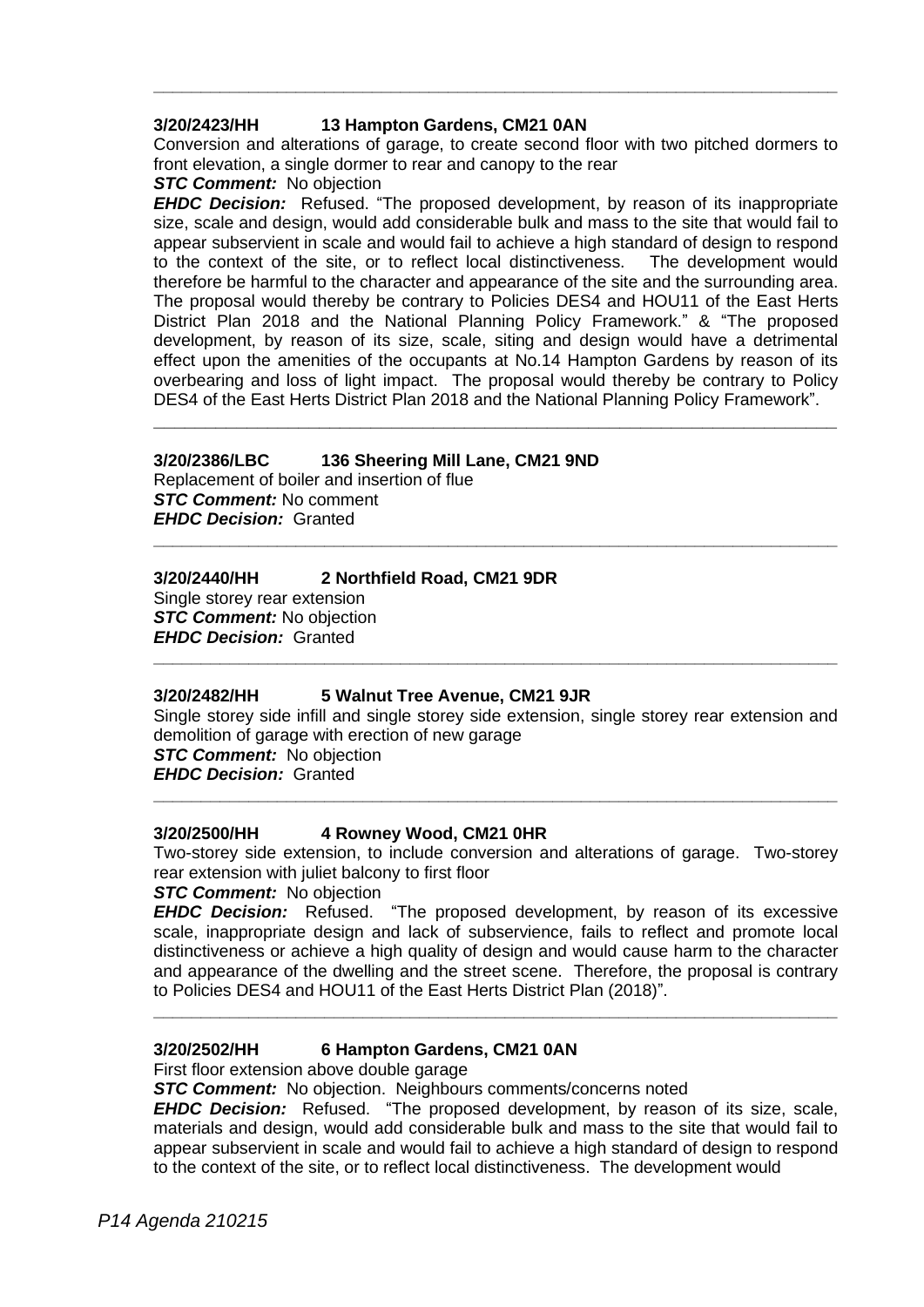#### **3/20/2423/HH 13 Hampton Gardens, CM21 0AN**

Conversion and alterations of garage, to create second floor with two pitched dormers to front elevation, a single dormer to rear and canopy to the rear

**\_\_\_\_\_\_\_\_\_\_\_\_\_\_\_\_\_\_\_\_\_\_\_\_\_\_\_\_\_\_\_\_\_\_\_\_\_\_\_\_\_\_\_\_\_\_\_\_\_\_\_\_\_\_\_\_\_\_\_\_\_\_\_\_\_\_\_\_\_\_\_\_**

*STC Comment:* No objection

*EHDC Decision:* Refused. "The proposed development, by reason of its inappropriate size, scale and design, would add considerable bulk and mass to the site that would fail to appear subservient in scale and would fail to achieve a high standard of design to respond to the context of the site, or to reflect local distinctiveness. The development would therefore be harmful to the character and appearance of the site and the surrounding area. The proposal would thereby be contrary to Policies DES4 and HOU11 of the East Herts District Plan 2018 and the National Planning Policy Framework." & "The proposed development, by reason of its size, scale, siting and design would have a detrimental effect upon the amenities of the occupants at No.14 Hampton Gardens by reason of its overbearing and loss of light impact. The proposal would thereby be contrary to Policy DES4 of the East Herts District Plan 2018 and the National Planning Policy Framework".

**\_\_\_\_\_\_\_\_\_\_\_\_\_\_\_\_\_\_\_\_\_\_\_\_\_\_\_\_\_\_\_\_\_\_\_\_\_\_\_\_\_\_\_\_\_\_\_\_\_\_\_\_\_\_\_\_\_\_\_\_\_\_\_\_\_\_**

**\_\_\_\_\_\_\_\_\_\_\_\_\_\_\_\_\_\_\_\_\_\_\_\_\_\_\_\_\_\_\_\_\_\_\_\_\_\_\_\_\_\_\_\_\_\_\_\_\_\_\_\_\_\_\_\_\_\_\_\_\_\_\_\_\_\_\_\_\_\_\_\_**

#### **3/20/2386/LBC 136 Sheering Mill Lane, CM21 9ND**

Replacement of boiler and insertion of flue *STC Comment:* No comment *EHDC Decision:* Granted

#### **3/20/2440/HH 2 Northfield Road, CM21 9DR**

Single storey rear extension *STC Comment:* No objection *EHDC Decision:* Granted

#### **3/20/2482/HH 5 Walnut Tree Avenue, CM21 9JR**

Single storey side infill and single storey side extension, single storey rear extension and demolition of garage with erection of new garage *STC Comment:* No objection *EHDC Decision:* Granted

**\_\_\_\_\_\_\_\_\_\_\_\_\_\_\_\_\_\_\_\_\_\_\_\_\_\_\_\_\_\_\_\_\_\_\_\_\_\_\_\_\_\_\_\_\_\_\_\_\_\_\_\_\_\_\_\_\_\_\_\_\_\_\_\_\_\_\_\_\_\_\_\_**

**\_\_\_\_\_\_\_\_\_\_\_\_\_\_\_\_\_\_\_\_\_\_\_\_\_\_\_\_\_\_\_\_\_\_\_\_\_\_\_\_\_\_\_\_\_\_\_\_\_\_\_\_\_\_\_\_\_\_\_\_\_\_\_\_\_\_\_\_\_\_\_\_**

#### **3/20/2500/HH 4 Rowney Wood, CM21 0HR**

Two-storey side extension, to include conversion and alterations of garage. Two-storey rear extension with juliet balcony to first floor

#### *STC Comment:* No objection

*EHDC Decision:* Refused. "The proposed development, by reason of its excessive scale, inappropriate design and lack of subservience, fails to reflect and promote local distinctiveness or achieve a high quality of design and would cause harm to the character and appearance of the dwelling and the street scene. Therefore, the proposal is contrary to Policies DES4 and HOU11 of the East Herts District Plan (2018)".

**\_\_\_\_\_\_\_\_\_\_\_\_\_\_\_\_\_\_\_\_\_\_\_\_\_\_\_\_\_\_\_\_\_\_\_\_\_\_\_\_\_\_\_\_\_\_\_\_\_\_\_\_\_\_\_\_\_\_\_\_\_\_\_\_\_\_\_\_\_\_\_\_**

#### **3/20/2502/HH 6 Hampton Gardens, CM21 0AN**

First floor extension above double garage

**STC Comment:** No objection. Neighbours comments/concerns noted

*EHDC Decision:* Refused. "The proposed development, by reason of its size, scale, materials and design, would add considerable bulk and mass to the site that would fail to appear subservient in scale and would fail to achieve a high standard of design to respond to the context of the site, or to reflect local distinctiveness. The development would